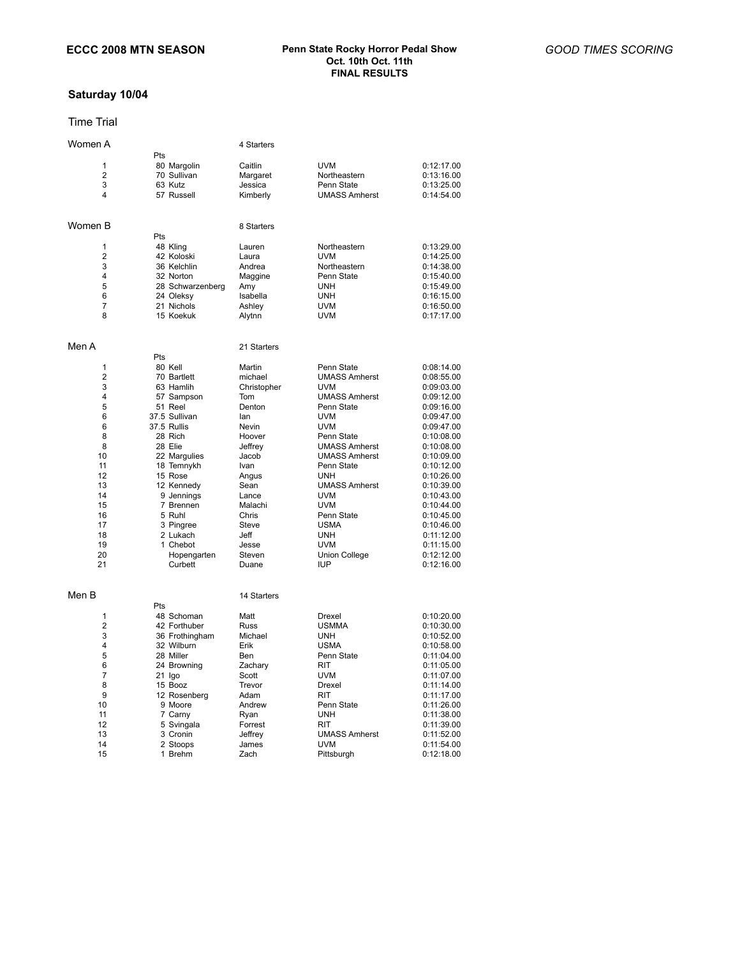# **Saturday 10/04**

## Time Trial

| Women A        |                  | 4 Starters  |                      |            |
|----------------|------------------|-------------|----------------------|------------|
|                | Pts              |             |                      |            |
| 1              | 80 Margolin      | Caitlin     | <b>UVM</b>           | 0:12:17.00 |
| $\overline{2}$ | 70 Sullivan      | Margaret    | Northeastern         | 0:13:16.00 |
| 3              | 63 Kutz          | Jessica     | Penn State           | 0:13:25.00 |
| 4              | 57 Russell       | Kimberly    | <b>UMASS Amherst</b> | 0:14:54.00 |
|                |                  |             |                      |            |
| Women B        |                  | 8 Starters  |                      |            |
|                | Pts              |             |                      |            |
| 1              | 48 Kling         | Lauren      | Northeastern         | 0:13:29.00 |
| $\overline{2}$ | 42 Koloski       | Laura       | <b>UVM</b>           | 0:14:25.00 |
| 3              | 36 Kelchlin      | Andrea      | Northeastern         | 0:14:38.00 |
| 4              | 32 Norton        | Maggine     | Penn State           | 0:15:40.00 |
| 5              | 28 Schwarzenberg | Amy         | <b>UNH</b>           | 0:15:49.00 |
| 6              | 24 Oleksy        | Isabella    | <b>UNH</b>           | 0:16:15.00 |
| $\overline{7}$ | 21 Nichols       | Ashley      | UVM                  | 0:16:50.00 |
| 8              | 15 Koekuk        | Alytnn      | <b>UVM</b>           | 0:17:17.00 |
|                |                  |             |                      |            |
| Men A          |                  | 21 Starters |                      |            |
|                | Pts              |             |                      |            |
| 1              | 80 Kell          | Martin      | Penn State           | 0:08:14.00 |
| $\overline{2}$ | 70 Bartlett      | michael     | <b>UMASS Amherst</b> | 0:08:55.00 |
| 3              | 63 Hamlih        | Christopher | <b>UVM</b>           | 0:09:03.00 |
| 4              | 57 Sampson       | Tom         | <b>UMASS Amherst</b> | 0:09:12.00 |
| 5              | 51 Reel          | Denton      | Penn State           | 0:09:16.00 |
| 6              | 37.5 Sullivan    | lan         | UVM                  | 0:09:47.00 |
| 6              | 37.5 Rullis      | Nevin       | <b>UVM</b>           | 0:09:47.00 |
| 8              | 28 Rich          | Hoover      | Penn State           | 0:10:08.00 |
| 8              | 28 Elie          | Jeffrey     | <b>UMASS Amherst</b> | 0:10:08.00 |
| 10             | 22 Margulies     | Jacob       | <b>UMASS Amherst</b> | 0:10:09.00 |
| 11             | 18 Temnykh       | Ivan        | Penn State           | 0:10:12.00 |
| 12             | 15 Rose          | Angus       | <b>UNH</b>           | 0:10:26.00 |
| 13             | 12 Kennedy       | Sean        | <b>UMASS Amherst</b> | 0:10:39.00 |
| 14             | 9 Jennings       | Lance       | <b>UVM</b>           | 0:10:43.00 |
| 15             | 7 Brennen        | Malachi     | <b>UVM</b>           | 0:10:44.00 |
| 16             | 5 Ruhl           | Chris       | Penn State           | 0:10:45.00 |
| 17             | 3 Pingree        | Steve       | <b>USMA</b>          | 0:10:46.00 |
| 18             | 2 Lukach         | Jeff        | UNH                  | 0:11:12.00 |
| 19             | 1 Chebot         | Jesse       | <b>UVM</b>           | 0:11:15.00 |
| 20             | Hopengarten      | Steven      | <b>Union College</b> | 0:12:12.00 |
| 21             | Curbett          | Duane       | IUP                  | 0:12:16.00 |
|                |                  |             |                      |            |
| Men B          |                  | 14 Starters |                      |            |
|                | Pts              |             |                      |            |
| 1              | 48 Schoman       | Matt        | Drexel               | 0:10:20.00 |
| 2              | 42 Forthuber     | Russ        | <b>USMMA</b>         | 0:10:30.00 |
| 3              | 36 Frothingham   | Michael     | <b>UNH</b>           | 0:10:52.00 |
| $\overline{4}$ | 32 Wilburn       | Erik        | <b>USMA</b>          | 0:10:58.00 |
| 5              | 28 Miller        | Ben         | Penn State           | 0:11:04.00 |
| 6              | 24 Browning      | Zachary     | RIT                  | 0:11:05.00 |
| $\overline{7}$ | $21$ $lgo$       | Scott       | <b>UVM</b>           | 0:11:07.00 |
| 8              | 15 Booz          | Trevor      | Drexel               | 0:11:14.00 |
| 9              | 12 Rosenberg     | Adam        | <b>RIT</b>           | 0:11:17.00 |
| 10             | 9 Moore          | Andrew      | Penn State           | 0:11:26.00 |
| 11             | 7 Carny          | Ryan        | <b>UNH</b>           | 0:11:38.00 |
| 12             | 5 Svingala       | Forrest     | RIT                  | 0:11:39.00 |
| 13             | 3 Cronin         | Jeffrey     | <b>UMASS Amherst</b> | 0:11:52.00 |
| 14             | 2 Stoops         | James       | UVM                  | 0:11:54.00 |
| 15             | 1 Brehm          | Zach        | Pittsburgh           | 0:12:18.00 |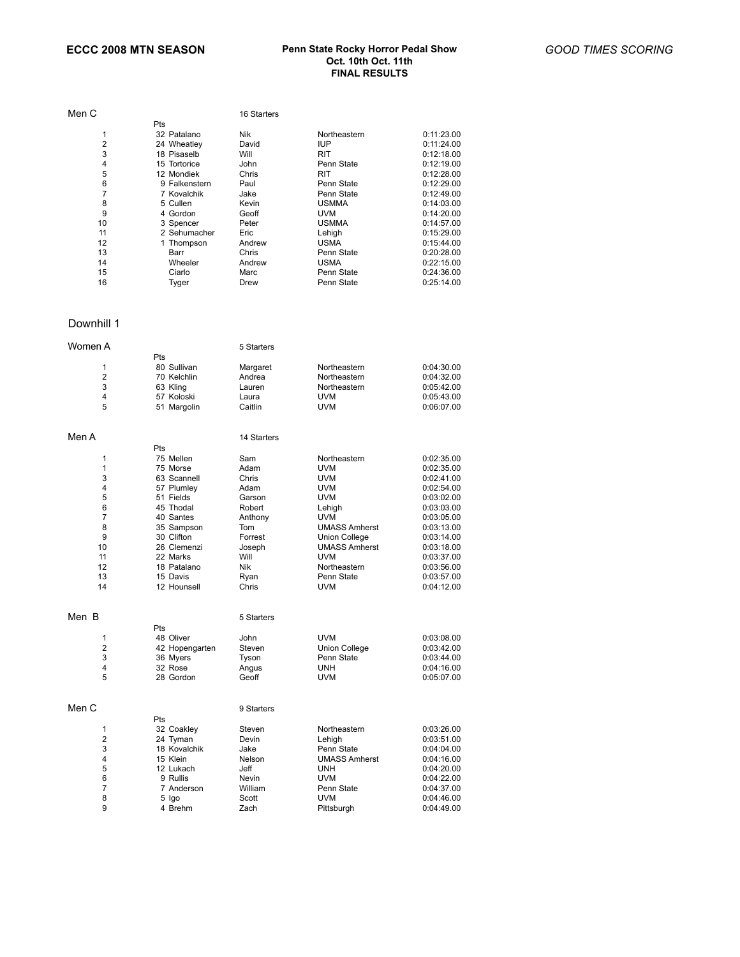### **ECCC 2008 MTN SEASON Penn State Rocky Horror Pedal Show Oct. 10th Oct. 11th FINAL RESULTS**

| Men C |               | 16 Starters |              |            |
|-------|---------------|-------------|--------------|------------|
|       | Pts           |             |              |            |
| 1     | 32 Patalano   | Nik         | Northeastern | 0:11:23.00 |
| 2     | 24 Wheatley   | David       | <b>IUP</b>   | 0:11:24.00 |
| 3     | 18 Pisaselb   | Will        | <b>RIT</b>   | 0:12:18.00 |
| 4     | 15 Tortorice  | John        | Penn State   | 0:12:19.00 |
| 5     | 12 Mondiek    | Chris       | RIT          | 0:12:28.00 |
| 6     | 9 Falkenstern | Paul        | Penn State   | 0:12:29.00 |
| 7     | 7 Kovalchik   | Jake        | Penn State   | 0:12:49.00 |
| 8     | 5 Cullen      | Kevin       | <b>USMMA</b> | 0:14:03.00 |
| 9     | 4 Gordon      | Geoff       | <b>UVM</b>   | 0:14:20.00 |
| 10    | 3 Spencer     | Peter       | <b>USMMA</b> | 0:14:57.00 |
| 11    | 2 Sehumacher  | Eric        | Lehigh       | 0:15:29.00 |
| 12    | 1 Thompson    | Andrew      | <b>USMA</b>  | 0:15:44.00 |
| 13    | Barr          | Chris       | Penn State   | 0:20:28.00 |
| 14    | Wheeler       | Andrew      | <b>USMA</b>  | 0:22:15.00 |
| 15    | Ciarlo        | Marc        | Penn State   | 0:24:36.00 |
| 16    | Tyger         | Drew        | Penn State   | 0:25:14.00 |

### Downhill 1

| Women A             |                          | 5 Starters     |                          |                          |
|---------------------|--------------------------|----------------|--------------------------|--------------------------|
|                     | Pts                      |                |                          |                          |
| 1                   | 80 Sullivan              | Margaret       | Northeastern             | 0:04:30.00               |
| $\overline{2}$      | 70 Kelchlin              | Andrea         | Northeastern             | 0:04:32.00               |
| 3                   | 63 Kling                 | Lauren         | Northeastern             | 0:05:42.00               |
| 4                   | 57 Koloski               | Laura          | <b>UVM</b>               | 0:05:43.00               |
| 5                   | 51 Margolin              | Caitlin        | UVM                      | 0:06:07.00               |
|                     |                          |                |                          |                          |
| Men A               |                          | 14 Starters    |                          |                          |
|                     | Pts                      |                |                          |                          |
| 1                   | 75 Mellen                | Sam            | Northeastern             | 0:02:35.00               |
| 1                   | 75 Morse                 | Adam           | <b>UVM</b>               | 0:02:35.00               |
| 3                   | 63 Scannell              | Chris          | UVM                      | 0:02:41.00               |
| 4                   |                          | Adam           | <b>UVM</b>               | 0:02:54.00               |
| 5                   | 57 Plumley<br>51 Fields  | Garson         | UVM                      | 0:03:02.00               |
| 6                   | 45 Thodal                | Robert         |                          | 0:03:03.00               |
| $\overline{7}$      | 40 Santes                | Anthony        | Lehigh<br><b>UVM</b>     | 0:03:05.00               |
| 8                   |                          | Tom            | <b>UMASS Amherst</b>     |                          |
| 9                   | 35 Sampson<br>30 Clifton | Forrest        | <b>Union College</b>     | 0:03:13.00<br>0:03:14.00 |
| 10                  | 26 Clemenzi              | Joseph         | <b>UMASS Amherst</b>     | 0:03:18.00               |
| 11                  | 22 Marks                 | Will           | <b>UVM</b>               |                          |
| 12                  | 18 Patalano              | <b>Nik</b>     | Northeastern             | 0:03:37.00               |
| 13                  | 15 Davis                 |                | Penn State               | 0:03:56.00               |
| 14                  | 12 Hounsell              | Ryan<br>Chris  | <b>UVM</b>               | 0:03:57.00<br>0:04:12.00 |
|                     |                          |                |                          |                          |
| Men B               |                          | 5 Starters     |                          |                          |
|                     | Pts                      |                |                          |                          |
|                     |                          | John           | <b>UVM</b>               |                          |
| 1<br>$\overline{2}$ | 48 Oliver                |                |                          | 0:03:08.00               |
|                     | 42 Hopengarten           | Steven         | Union College            | 0:03:42.00               |
| 3<br>4              | 36 Myers<br>32 Rose      | Tyson          | Penn State<br><b>UNH</b> | 0:03:44.00               |
| 5                   | 28 Gordon                | Angus<br>Geoff | <b>UVM</b>               | 0:04:16.00<br>0:05:07.00 |
|                     |                          |                |                          |                          |
| Men C               |                          |                |                          |                          |
|                     | Pts                      | 9 Starters     |                          |                          |
|                     |                          |                |                          |                          |
| 1<br>2              | 32 Coakley               | Steven         | Northeastern             | 0:03:26.00               |
| 3                   | 24 Tyman<br>18 Kovalchik | Devin          | Lehigh<br>Penn State     | 0:03:51.00               |
| 4                   | 15 Klein                 | Jake<br>Nelson | <b>UMASS Amherst</b>     | 0:04:04.00<br>0:04:16.00 |
| 5                   | 12 Lukach                | Jeff           | <b>UNH</b>               | 0:04:20.00               |
| 6                   | 9 Rullis                 | Nevin          | <b>UVM</b>               | 0:04:22.00               |
| $\overline{7}$      |                          | William        | Penn State               |                          |
| 8                   | 7 Anderson               | Scott          | UVM                      | 0:04:37.00<br>0:04:46.00 |
| 9                   | 5 Igo<br>4 Brehm         | Zach           | Pittsburgh               | 0:04:49.00               |
|                     |                          |                |                          |                          |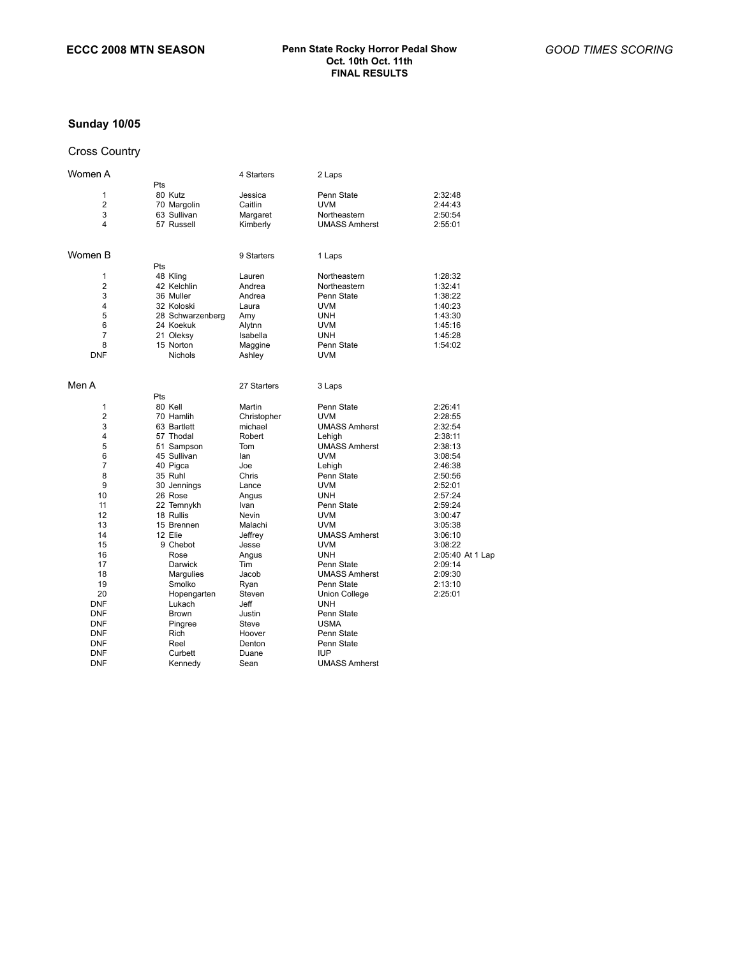# **Sunday 10/05**

## Cross Country

| Women A             |                        | 4 Starters     | 2 Laps                   |                    |
|---------------------|------------------------|----------------|--------------------------|--------------------|
|                     | Pts                    |                |                          |                    |
| 1                   | 80 Kutz                | Jessica        | Penn State               | 2:32:48            |
| $\overline{2}$      | 70 Margolin            | Caitlin        | <b>UVM</b>               | 2:44:43            |
| 3                   | 63 Sullivan            | Margaret       | Northeastern             | 2:50:54            |
| 4                   | 57 Russell             | Kimberly       | <b>UMASS Amherst</b>     | 2:55:01            |
| Women B             |                        | 9 Starters     | 1 Laps                   |                    |
|                     | Pts                    |                |                          |                    |
| 1                   | 48 Kling               | Lauren         | Northeastern             | 1:28:32            |
| 2                   | 42 Kelchlin            | Andrea         | Northeastern             | 1:32:41            |
| 3                   | 36 Muller              | Andrea         | Penn State               | 1:38:22            |
| 4                   | 32 Koloski             | Laura          | <b>UVM</b>               | 1:40:23            |
| 5                   | 28 Schwarzenberg       | Amy            | <b>UNH</b>               | 1:43:30            |
| 6                   | 24 Koekuk              | Alytnn         | <b>UVM</b>               | 1:45:16            |
| $\overline{7}$      | 21 Oleksy              | Isabella       | <b>UNH</b>               | 1:45:28            |
| 8                   | 15 Norton              | Maggine        | Penn State               | 1:54:02            |
| <b>DNF</b>          | <b>Nichols</b>         | Ashley         | <b>UVM</b>               |                    |
| Men A               |                        | 27 Starters    | 3 Laps                   |                    |
|                     | Pts                    |                |                          |                    |
| 1                   | 80 Kell                | Martin         | Penn State               | 2:26:41            |
| $\overline{2}$      | 70 Hamlih              | Christopher    | <b>UVM</b>               | 2:28:55            |
| 3                   | 63 Bartlett            | michael        | <b>UMASS Amherst</b>     | 2:32:54            |
| 4                   | 57 Thodal              | Robert         | Lehigh                   | 2:38:11            |
| 5                   | 51 Sampson             | Tom            | <b>UMASS Amherst</b>     | 2:38:13            |
| 6<br>$\overline{7}$ | 45 Sullivan            | lan            | <b>UVM</b>               | 3:08:54            |
| 8                   | 40 Pigca               | Joe            | Lehigh                   | 2:46:38            |
| 9                   | 35 Ruhl                | Chris<br>Lance | Penn State<br><b>UVM</b> | 2:50:56<br>2:52:01 |
| 10                  | 30 Jennings<br>26 Rose |                | <b>UNH</b>               | 2:57:24            |
| 11                  | 22 Temnykh             | Angus<br>Ivan  | Penn State               | 2:59:24            |
| 12                  | 18 Rullis              | Nevin          | <b>UVM</b>               | 3:00:47            |
| 13                  | 15 Brennen             | Malachi        | <b>UVM</b>               | 3:05:38            |
| 14                  | 12 Elie                | Jeffrey        | <b>UMASS Amherst</b>     | 3:06:10            |
| 15                  | 9 Chebot               | Jesse          | UVM                      | 3:08:22            |
| 16                  | Rose                   | Angus          | <b>UNH</b>               | 2:05:40 At 1 Lap   |
| 17                  | Darwick                | Tim            | Penn State               | 2:09:14            |
| 18                  | Margulies              | Jacob          | <b>UMASS Amherst</b>     | 2:09:30            |
| 19                  | Smolko                 | Ryan           | Penn State               | 2:13:10            |
| 20                  | Hopengarten            | Steven         | Union College            | 2:25:01            |
| <b>DNF</b>          | Lukach                 | Jeff           | <b>UNH</b>               |                    |
| <b>DNF</b>          | Brown                  | Justin         | Penn State               |                    |
| <b>DNF</b>          | Pingree                | Steve          | <b>USMA</b>              |                    |
| <b>DNF</b>          | Rich                   | Hoover         | Penn State               |                    |
| <b>DNF</b>          | Reel                   | Denton         | Penn State               |                    |
| <b>DNF</b>          | Curbett                | Duane          | <b>IUP</b>               |                    |
| <b>DNF</b>          | Kennedy                | Sean           | <b>UMASS Amherst</b>     |                    |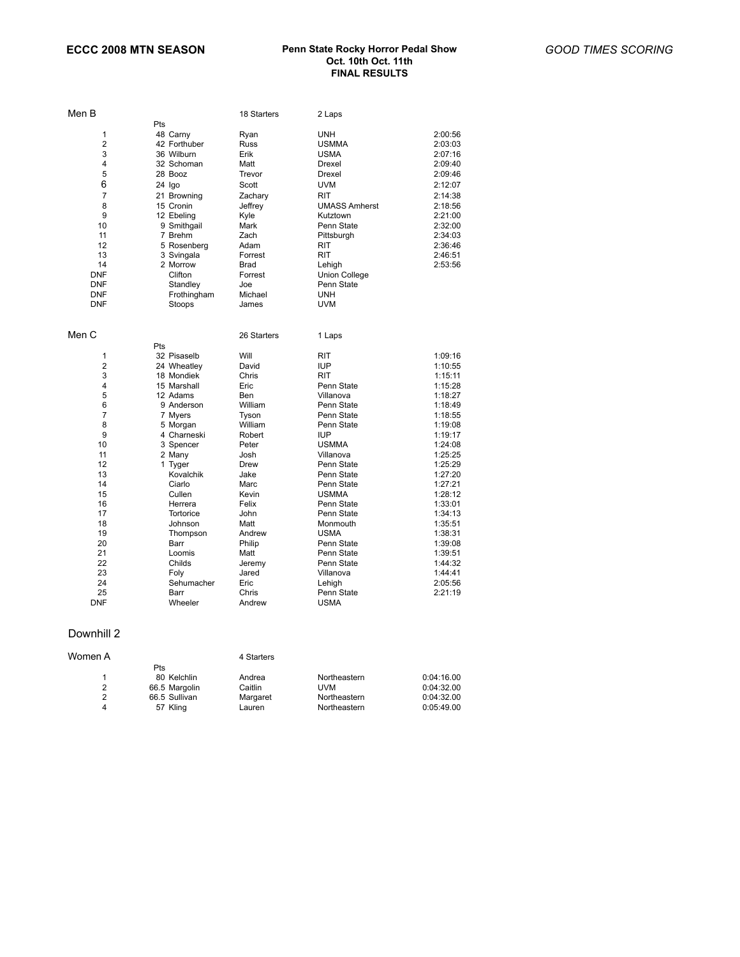### **ECCC 2008 MTN SEASON Penn State Rocky Horror Pedal Show Oct. 10th Oct. 11th FINAL RESULTS**

| Men B                                                                                 |                                                                                                                                                                     | 18 Starters                                                                                                           | 2 Laps                                                                                                                                                                                      |                                                                                                                                                        |
|---------------------------------------------------------------------------------------|---------------------------------------------------------------------------------------------------------------------------------------------------------------------|-----------------------------------------------------------------------------------------------------------------------|---------------------------------------------------------------------------------------------------------------------------------------------------------------------------------------------|--------------------------------------------------------------------------------------------------------------------------------------------------------|
| 1<br>$\overline{2}$<br>3<br>4<br>5<br>6<br>$\overline{7}$<br>8<br>9<br>10<br>11<br>12 | Pts<br>48 Carny<br>42 Forthuber<br>36 Wilburn<br>32 Schoman<br>28 Booz<br>24 Igo<br>21 Browning<br>15 Cronin<br>12 Ebeling<br>9 Smithgail<br>7 Brehm<br>5 Rosenberg | Ryan<br><b>Russ</b><br>Erik<br>Matt<br>Trevor<br>Scott<br>Zachary<br>Jeffrey<br>Kyle<br>Mark<br>Zach<br>Adam          | <b>UNH</b><br><b>USMMA</b><br><b>USMA</b><br>Drexel<br>Drexel<br><b>UVM</b><br><b>RIT</b><br><b>UMASS Amherst</b><br>Kutztown<br>Penn State<br>Pittsburgh<br>RIT                            | 2:00:56<br>2:03:03<br>2:07:16<br>2:09:40<br>2:09:46<br>2:12:07<br>2:14:38<br>2:18:56<br>2:21:00<br>2:32:00<br>2:34:03<br>2:36:46                       |
| 13<br>14<br><b>DNF</b><br><b>DNF</b><br><b>DNF</b><br><b>DNF</b>                      | 3 Svingala<br>2 Morrow<br>Clifton<br>Standley<br>Frothingham<br>Stoops                                                                                              | Forrest<br>Brad<br>Forrest<br>Joe<br>Michael<br>James                                                                 | <b>RIT</b><br>Lehigh<br>Union College<br>Penn State<br><b>UNH</b><br><b>UVM</b>                                                                                                             | 2:46:51<br>2:53:56                                                                                                                                     |
| Men C                                                                                 | Pts                                                                                                                                                                 | 26 Starters                                                                                                           | 1 Laps                                                                                                                                                                                      |                                                                                                                                                        |
| 1<br>$\overline{2}$<br>3<br>4<br>5<br>6<br>7<br>8<br>9<br>10                          | 32 Pisaselb<br>24 Wheatley<br>18 Mondiek<br>15 Marshall<br>12 Adams<br>9 Anderson<br>7 Myers<br>5 Morgan<br>4 Charneski<br>3 Spencer                                | Will<br>David<br>Chris<br>Eric<br>Ben<br>William<br>Tyson<br>William<br>Robert<br>Peter                               | RIT<br><b>IUP</b><br><b>RIT</b><br>Penn State<br>Villanova<br>Penn State<br>Penn State<br>Penn State<br><b>IUP</b><br><b>USMMA</b>                                                          | 1:09:16<br>1:10:55<br>1:15:11<br>1:15:28<br>1:18:27<br>1:18:49<br>1:18:55<br>1:19:08<br>1:19:17<br>1:24:08                                             |
| 11<br>12<br>13<br>14<br>15<br>16<br>17<br>18<br>19<br>20<br>21<br>22<br>23<br>24      | 2 Many<br>1 Tyger<br>Kovalchik<br>Ciarlo<br>Cullen<br>Herrera<br>Tortorice<br>Johnson<br>Thompson<br>Barr<br>Loomis<br>Childs<br>Foly<br>Sehumacher                 | Josh<br>Drew<br>Jake<br>Marc<br>Kevin<br>Felix<br>John<br>Matt<br>Andrew<br>Philip<br>Matt<br>Jeremy<br>Jared<br>Eric | Villanova<br>Penn State<br>Penn State<br>Penn State<br><b>USMMA</b><br>Penn State<br>Penn State<br>Monmouth<br><b>USMA</b><br>Penn State<br>Penn State<br>Penn State<br>Villanova<br>Lehigh | 1:25:25<br>1:25:29<br>1:27:20<br>1:27:21<br>1:28:12<br>1:33:01<br>1:34:13<br>1:35:51<br>1:38:31<br>1:39:08<br>1:39:51<br>1:44:32<br>1:44:41<br>2:05:56 |
| 25<br>DNF                                                                             | Barr<br>Wheeler                                                                                                                                                     | Chris<br>Andrew                                                                                                       | Penn State<br><b>USMA</b>                                                                                                                                                                   | 2:21:19                                                                                                                                                |

## Downhill 2

| Women A |               | 4 Starters |              |            |
|---------|---------------|------------|--------------|------------|
|         | Pts           |            |              |            |
|         | 80 Kelchlin   | Andrea     | Northeastern | 0:04:16.00 |
| 2       | 66.5 Margolin | Caitlin    | UVM          | 0:04:32.00 |
| 2       | 66.5 Sullivan | Margaret   | Northeastern | 0:04:32.00 |
| 4       | 57 Kling      | Lauren     | Northeastern | 0:05:49.00 |